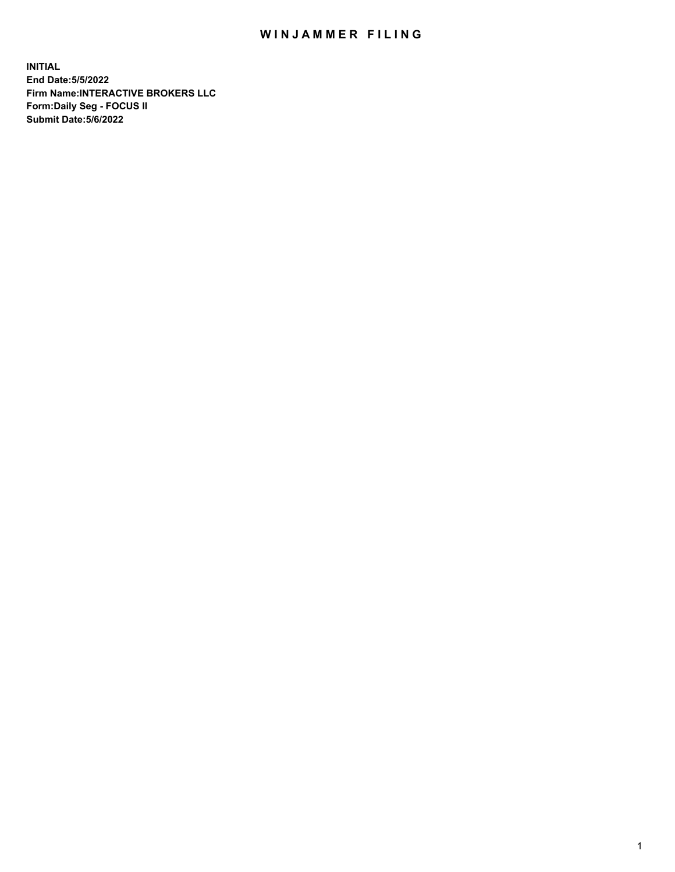## WIN JAMMER FILING

**INITIAL End Date:5/5/2022 Firm Name:INTERACTIVE BROKERS LLC Form:Daily Seg - FOCUS II Submit Date:5/6/2022**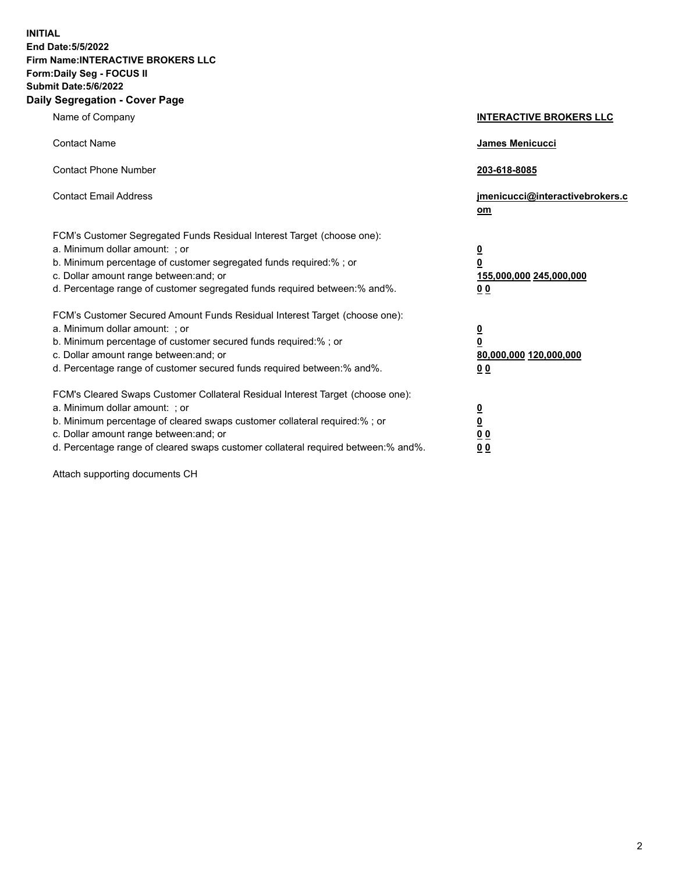**INITIAL End Date:5/5/2022 Firm Name:INTERACTIVE BROKERS LLC Form:Daily Seg - FOCUS II Submit Date:5/6/2022 Daily Segregation - Cover Page**

| Name of Company                                                                                                                                                                                                                                                                                                                | <b>INTERACTIVE BROKERS LLC</b>                                                                  |
|--------------------------------------------------------------------------------------------------------------------------------------------------------------------------------------------------------------------------------------------------------------------------------------------------------------------------------|-------------------------------------------------------------------------------------------------|
| <b>Contact Name</b>                                                                                                                                                                                                                                                                                                            | James Menicucci                                                                                 |
| <b>Contact Phone Number</b>                                                                                                                                                                                                                                                                                                    | 203-618-8085                                                                                    |
| <b>Contact Email Address</b>                                                                                                                                                                                                                                                                                                   | jmenicucci@interactivebrokers.c<br>om                                                           |
| FCM's Customer Segregated Funds Residual Interest Target (choose one):<br>a. Minimum dollar amount: : or<br>b. Minimum percentage of customer segregated funds required:% ; or<br>c. Dollar amount range between: and; or<br>d. Percentage range of customer segregated funds required between:% and%.                         | $\overline{\mathbf{0}}$<br>$\overline{\mathbf{0}}$<br>155,000,000 245,000,000<br>0 <sub>0</sub> |
| FCM's Customer Secured Amount Funds Residual Interest Target (choose one):<br>a. Minimum dollar amount: ; or<br>b. Minimum percentage of customer secured funds required:% ; or<br>c. Dollar amount range between: and; or<br>d. Percentage range of customer secured funds required between:% and%.                           | $\frac{0}{0}$<br>80,000,000 120,000,000<br>00                                                   |
| FCM's Cleared Swaps Customer Collateral Residual Interest Target (choose one):<br>a. Minimum dollar amount: ; or<br>b. Minimum percentage of cleared swaps customer collateral required:% ; or<br>c. Dollar amount range between: and; or<br>d. Percentage range of cleared swaps customer collateral required between:% and%. | $\overline{\mathbf{0}}$<br>$\underline{\mathbf{0}}$<br>0 <sub>0</sub><br>0 <sub>0</sub>         |

Attach supporting documents CH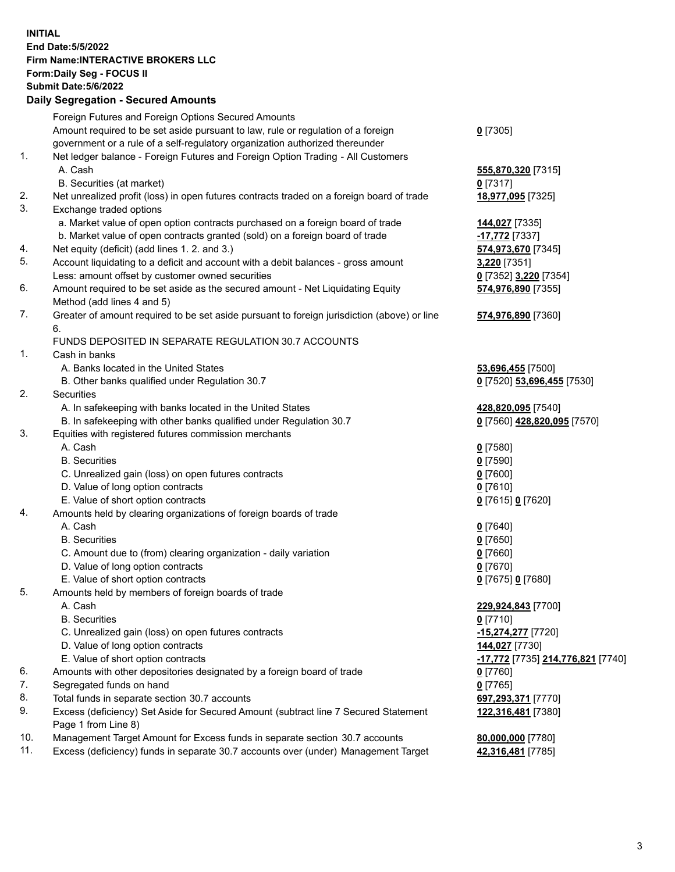## **INITIAL End Date:5/5/2022 Firm Name:INTERACTIVE BROKERS LLC Form:Daily Seg - FOCUS II Submit Date:5/6/2022 Daily Segregation - Secured Amounts**

|     | Foreign Futures and Foreign Options Secured Amounts                                         |                                                 |
|-----|---------------------------------------------------------------------------------------------|-------------------------------------------------|
|     | Amount required to be set aside pursuant to law, rule or regulation of a foreign            | $0$ [7305]                                      |
|     | government or a rule of a self-regulatory organization authorized thereunder                |                                                 |
| 1.  | Net ledger balance - Foreign Futures and Foreign Option Trading - All Customers             |                                                 |
|     | A. Cash                                                                                     | 555,870,320 [7315]                              |
|     | B. Securities (at market)                                                                   | $0$ [7317]                                      |
| 2.  | Net unrealized profit (loss) in open futures contracts traded on a foreign board of trade   | 18,977,095 [7325]                               |
| 3.  | Exchange traded options                                                                     |                                                 |
|     | a. Market value of open option contracts purchased on a foreign board of trade              | 144,027 [7335]                                  |
|     | b. Market value of open contracts granted (sold) on a foreign board of trade                | -17,772 <sup>[7337]</sup>                       |
| 4.  | Net equity (deficit) (add lines 1. 2. and 3.)                                               | 574,973,670 [7345]                              |
| 5.  | Account liquidating to a deficit and account with a debit balances - gross amount           | 3,220 [7351]                                    |
|     | Less: amount offset by customer owned securities                                            | 0 [7352] 3,220 [7354]                           |
| 6.  | Amount required to be set aside as the secured amount - Net Liquidating Equity              | 574,976,890 [7355]                              |
|     | Method (add lines 4 and 5)                                                                  |                                                 |
| 7.  | Greater of amount required to be set aside pursuant to foreign jurisdiction (above) or line | 574,976,890 [7360]                              |
|     | 6.                                                                                          |                                                 |
| 1.  | FUNDS DEPOSITED IN SEPARATE REGULATION 30.7 ACCOUNTS<br>Cash in banks                       |                                                 |
|     | A. Banks located in the United States                                                       |                                                 |
|     | B. Other banks qualified under Regulation 30.7                                              | 53,696,455 [7500]                               |
| 2.  | Securities                                                                                  | 0 [7520] 53,696,455 [7530]                      |
|     | A. In safekeeping with banks located in the United States                                   | 428,820,095 [7540]                              |
|     | B. In safekeeping with other banks qualified under Regulation 30.7                          | 0 [7560] 428,820,095 [7570]                     |
| 3.  | Equities with registered futures commission merchants                                       |                                                 |
|     | A. Cash                                                                                     | $0$ [7580]                                      |
|     | <b>B.</b> Securities                                                                        | $0$ [7590]                                      |
|     | C. Unrealized gain (loss) on open futures contracts                                         | $0$ [7600]                                      |
|     | D. Value of long option contracts                                                           | $0$ [7610]                                      |
|     | E. Value of short option contracts                                                          | 0 [7615] 0 [7620]                               |
| 4.  | Amounts held by clearing organizations of foreign boards of trade                           |                                                 |
|     | A. Cash                                                                                     | $0$ [7640]                                      |
|     | <b>B.</b> Securities                                                                        | $0$ [7650]                                      |
|     | C. Amount due to (from) clearing organization - daily variation                             | $0$ [7660]                                      |
|     | D. Value of long option contracts                                                           | $0$ [7670]                                      |
|     | E. Value of short option contracts                                                          | 0 [7675] 0 [7680]                               |
| 5.  | Amounts held by members of foreign boards of trade                                          |                                                 |
|     | A. Cash                                                                                     | 229,924,843 [7700]                              |
|     | <b>B.</b> Securities                                                                        | $0$ [7710]                                      |
|     | C. Unrealized gain (loss) on open futures contracts                                         | -15,274,277 [7720]                              |
|     | D. Value of long option contracts                                                           | 144,027 [7730]                                  |
|     | E. Value of short option contracts                                                          | <u>-17,772</u> [7735] <u>214,776,821</u> [7740] |
| 6.  | Amounts with other depositories designated by a foreign board of trade                      | $0$ [7760]                                      |
| 7.  | Segregated funds on hand                                                                    | $0$ [7765]                                      |
| 8.  | Total funds in separate section 30.7 accounts                                               | 697,293,371 [7770]                              |
| 9.  | Excess (deficiency) Set Aside for Secured Amount (subtract line 7 Secured Statement         | 122,316,481 [7380]                              |
|     | Page 1 from Line 8)                                                                         |                                                 |
| 10. | Management Target Amount for Excess funds in separate section 30.7 accounts                 | 80,000,000 [7780]                               |
| 11. | Excess (deficiency) funds in separate 30.7 accounts over (under) Management Target          | 42,316,481 [7785]                               |
|     |                                                                                             |                                                 |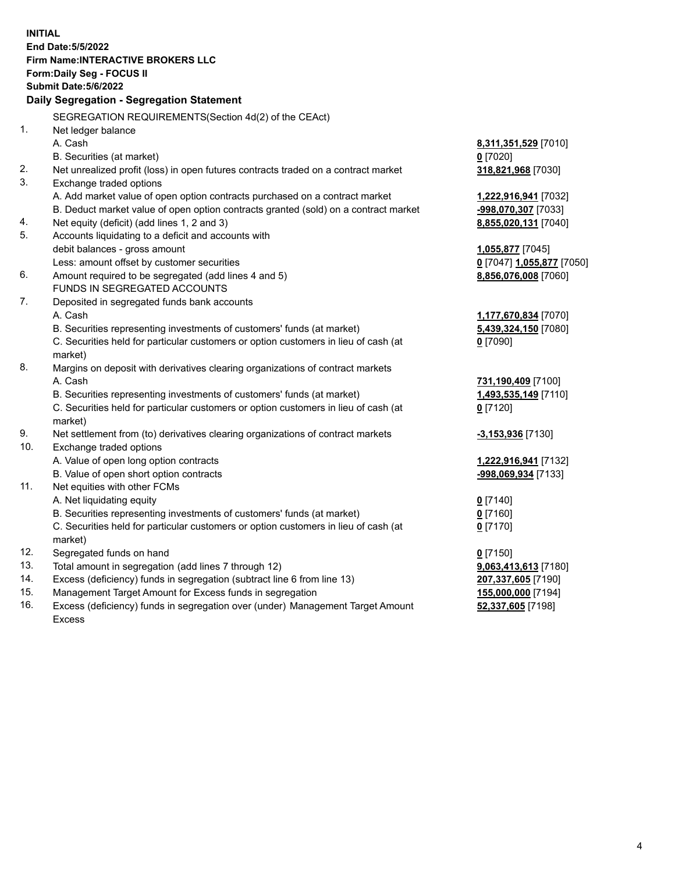**INITIAL End Date:5/5/2022 Firm Name:INTERACTIVE BROKERS LLC Form:Daily Seg - FOCUS II Submit Date:5/6/2022 Daily Segregation - Segregation Statement** SEGREGATION REQUIREMENTS(Section 4d(2) of the CEAct) 1. Net ledger balance A. Cash **8,311,351,529** [7010] B. Securities (at market) **0** [7020] 2. Net unrealized profit (loss) in open futures contracts traded on a contract market **318,821,968** [7030] 3. Exchange traded options A. Add market value of open option contracts purchased on a contract market **1,222,916,941** [7032] B. Deduct market value of open option contracts granted (sold) on a contract market **-998,070,307** [7033] 4. Net equity (deficit) (add lines 1, 2 and 3) **8,855,020,131** [7040] 5. Accounts liquidating to a deficit and accounts with debit balances - gross amount **1,055,877** [7045] Less: amount offset by customer securities **0** [7047] **1,055,877** [7050] 6. Amount required to be segregated (add lines 4 and 5) **8,856,076,008** [7060] FUNDS IN SEGREGATED ACCOUNTS 7. Deposited in segregated funds bank accounts A. Cash **1,177,670,834** [7070] B. Securities representing investments of customers' funds (at market) **5,439,324,150** [7080] C. Securities held for particular customers or option customers in lieu of cash (at market) **0** [7090] 8. Margins on deposit with derivatives clearing organizations of contract markets A. Cash **731,190,409** [7100] B. Securities representing investments of customers' funds (at market) **1,493,535,149** [7110] C. Securities held for particular customers or option customers in lieu of cash (at market) **0** [7120] 9. Net settlement from (to) derivatives clearing organizations of contract markets **-3,153,936** [7130] 10. Exchange traded options A. Value of open long option contracts **1,222,916,941** [7132] B. Value of open short option contracts **-998,069,934** [7133] 11. Net equities with other FCMs A. Net liquidating equity **0** [7140] B. Securities representing investments of customers' funds (at market) **0** [7160] C. Securities held for particular customers or option customers in lieu of cash (at market) **0** [7170] 12. Segregated funds on hand **0** [7150] 13. Total amount in segregation (add lines 7 through 12) **9,063,413,613** [7180] 14. Excess (deficiency) funds in segregation (subtract line 6 from line 13) **207,337,605** [7190] 15. Management Target Amount for Excess funds in segregation **155,000,000** [7194] **52,337,605** [7198]

16. Excess (deficiency) funds in segregation over (under) Management Target Amount Excess

4